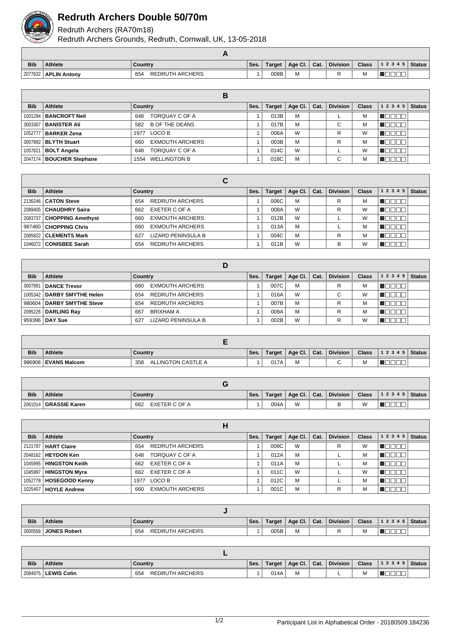

## **Redruth Archers Double 50/70m**

Redruth Archers (RA70m18)

Redruth Archers Grounds, Redruth, Cornwall, UK, 13-05-2018

| <b>Bib</b> | <b>Athlete</b>         | <b>Country</b>                | Ses. | Target | Age Cl. | Cat. | <b>Division</b> | Class | $12345$ Status |  |
|------------|------------------------|-------------------------------|------|--------|---------|------|-----------------|-------|----------------|--|
|            | 2077632   APLIN Antony | <b>REDRUTH ARCHERS</b><br>654 |      | 008B   | M       |      |                 | M     |                |  |

|            |                                | в                             |      |        |             |      |                 |              |                        |  |
|------------|--------------------------------|-------------------------------|------|--------|-------------|------|-----------------|--------------|------------------------|--|
| <b>Bib</b> | Athlete                        | Country                       | Ses. | Target | Age Cl. $ $ | Cat. | <b>Division</b> | <b>Class</b> | $1\ 2\ 3\ 4\ 5$ Status |  |
|            | 1001294   <b>BANCROFT Neil</b> | TORQUAY C OF A<br>648         |      | 013B   | M           |      |                 | M            | ╜<br>- IL L            |  |
|            | 3003367   BANISTER Ali         | B OF THE DEANS<br>582         |      | 017B   | M           |      | С               | M            | VUUUL                  |  |
|            | 1052777   <b>BARKER Zena</b>   | 1977 LOCO B                   |      | 006A   | W           |      | R               | W            | <b>VELLET</b>          |  |
|            | 3007892   BLYTH Stuart         | <b>EXMOUTH ARCHERS</b><br>660 |      | 003B   | M           |      | R               | M            | TOOOC                  |  |
|            | 1057621   <b>BOLT Angela</b>   | TORQUAY C OF A<br>648         |      | 014C   | W           |      |                 | W            | ┐г<br>- III.<br>HH.    |  |
|            | 2047174   BOUCHER Stephane     | 1554 WELLINGTON B             |      | 018C   | M           |      | С               | M            | UUU                    |  |

|            |                             | С                             |      |        |         |      |                 |              |           |               |
|------------|-----------------------------|-------------------------------|------|--------|---------|------|-----------------|--------------|-----------|---------------|
| <b>Bib</b> | Athlete                     | Country                       | Ses. | Target | Age Cl. | Cat. | <b>Division</b> | <b>Class</b> | 1 2 3 4 5 | <b>Status</b> |
|            | 2136246   CATON Steve       | <b>REDRUTH ARCHERS</b><br>654 |      | 006C   | M       |      | R               | М            |           |               |
|            | 2089405   CHAUDHRY Saira    | EXETER C OF A<br>662          |      | 008A   | W       |      | R               | W            |           |               |
|            | 2083737   CHOPPING Amethyst | <b>EXMOUTH ARCHERS</b><br>660 |      | 012B   | W       |      |                 | W            |           |               |
|            | 987460   CHOPPING Chris     | <b>EXMOUTH ARCHERS</b><br>660 |      | 013A   | M       |      |                 | м            |           |               |
|            | 2085822   CLEMENTS Mark     | LIZARD PENINSULA B<br>627     |      | 004C   | M       |      | R               | М            |           |               |
|            | 1046072   CONISBEE Sarah    | <b>REDRUTH ARCHERS</b><br>654 |      | 011B   | W       |      | в               | W            |           |               |

| <b>Bib</b> | <b>Athlete</b>               | Country                       | Ses. | <b>Target</b> | Age CI. | Cat. | <b>Division</b> | <b>Class</b> | 1 2 3 4 5<br><b>Status</b> |  |
|------------|------------------------------|-------------------------------|------|---------------|---------|------|-----------------|--------------|----------------------------|--|
|            | 3007891   DANCE Trevor       | <b>EXMOUTH ARCHERS</b><br>660 |      | 007C          | M       |      | R               | M            |                            |  |
|            | 1005342   DARBY SMYTHE Helen | <b>REDRUTH ARCHERS</b><br>654 |      | 016A          | W       |      | $\sim$<br>U     | W            |                            |  |
|            | 980604   DARBY SMYTHE Steve  | <b>REDRUTH ARCHERS</b><br>654 |      | 007B          | M       |      | R               | M            |                            |  |
|            | 2095226   DARLING Ray        | 667<br>BRIXHAM A              |      | 009A          | M       |      | R               | M            |                            |  |
|            | 959396 <b>  DAY Sue</b>      | LIZARD PENINSULA B<br>627     |      | 002B          | W       |      | R               | W            |                            |  |

| <b>Bib</b> | <b>Athlete</b>        | Country                   | Ses. | Target | Age Cl. | Cat. | <b>Division</b> | <b>Class</b> | 12345 | <b>Status</b> |
|------------|-----------------------|---------------------------|------|--------|---------|------|-----------------|--------------|-------|---------------|
|            | 996908   EVANS Malcom | ALLINGTON CASTLE A<br>358 |      | 017A   | IVI     |      | $\sim$          | IΜ           |       |               |

| <b>Bib</b> | <b>Athlete</b> | Country              | Ses. | Target | Age Cl.  | Cat. | <b>Division</b> | <b>Class</b> | 12345 | Status |
|------------|----------------|----------------------|------|--------|----------|------|-----------------|--------------|-------|--------|
| 2061014    | GRASSIE Karen  | EXETER C OF A<br>662 |      | 004A   | M<br>v v |      |                 | W            |       |        |

| <b>Bib</b> | Athlete                  | Country                       | Ses. | Target | Age Cl. | Cat. | <b>Division</b> | <b>Class</b> | 1 2 3 4 5 | <b>Status</b> |
|------------|--------------------------|-------------------------------|------|--------|---------|------|-----------------|--------------|-----------|---------------|
|            | 2121787   HART Claire    | <b>REDRUTH ARCHERS</b><br>654 |      | 009C   | W       |      | R               | W            |           |               |
|            | 2048162   HEYDON Ken     | TORQUAY C OF A<br>648         |      | 012A   | M       |      |                 | М            |           |               |
|            | 1045995   HINGSTON Keith | EXETER C OF A<br>662          |      | 011A   | M       |      |                 | м            |           |               |
|            | 1045997   HINGSTON Myra  | EXETER C OF A<br>662          |      | 011C   | W       |      |                 | W            |           |               |
|            | 1052778   HOSEGOOD Kenny | LOCO B<br>1977                |      | 012C   | M       |      |                 | М            |           |               |
|            | 1025457   HOYLE Andrew   | <b>EXMOUTH ARCHERS</b><br>660 |      | 001C   | M       |      | R               | м            |           |               |

| <b>Bib</b> | <b>Athlete</b>      | Country                       | Ses. | Target | Age Cl. | Cat. | <b>Division</b> | <b>Class</b> | 12345  | Status |
|------------|---------------------|-------------------------------|------|--------|---------|------|-----------------|--------------|--------|--------|
| 3000558    | <b>JONES Robert</b> | <b>REDRUTH ARCHERS</b><br>654 |      | 005B   | M       |      |                 | M            | _<br>_ |        |

| <b>Bib</b> | <b>Athlete</b>        | Country                       | Ses. | Target | Age Cl. | Cat. | <b>Division</b> | <b>Class</b> | 12345 | <b>Status</b> |
|------------|-----------------------|-------------------------------|------|--------|---------|------|-----------------|--------------|-------|---------------|
|            | 2084975   LEWIS Colin | <b>REDRUTH ARCHERS</b><br>654 |      | 014A   | M       |      |                 | M            |       |               |